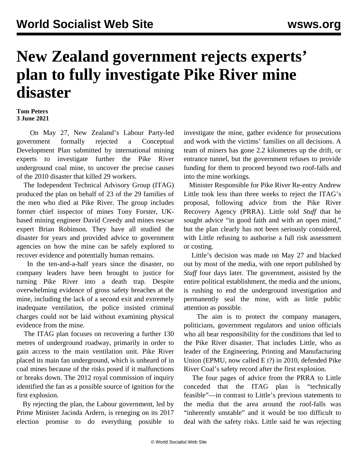## **New Zealand government rejects experts' plan to fully investigate Pike River mine disaster**

## **Tom Peters 3 June 2021**

 On May 27, New Zealand's Labour Party-led government formally rejected a Conceptual Development Plan submitted by international mining experts to investigate further the Pike River underground coal mine, to uncover the precise causes of the 2010 disaster that killed 29 workers.

 The Independent Technical Advisory Group (ITAG) produced the plan on behalf of 23 of the 29 families of the men who died at Pike River. The group includes former chief inspector of mines Tony Forster, UKbased mining engineer David Creedy and mines rescue expert Brian Robinson. They have all studied the disaster for years and provided advice to government agencies on how the mine can be safely explored to recover evidence and potentially human remains.

 In the ten-and-a-half years since the disaster, no company leaders have been brought to justice for turning Pike River into a death trap. Despite overwhelming evidence of gross safety breaches at the mine, including the lack of a second exit and extremely inadequate ventilation, the police insisted criminal charges could not be laid without examining physical evidence from the mine.

 The ITAG plan focuses on recovering a further 130 metres of underground roadway, primarily in order to gain access to the main ventilation unit. Pike River placed its main fan underground, which is unheard of in coal mines because of the risks posed if it malfunctions or breaks down. The 2012 royal commission of inquiry identified the fan as a possible source of ignition for the first explosion.

 By rejecting the plan, the Labour government, led by Prime Minister Jacinda Ardern, is reneging on its 2017 election promise to do everything possible to

investigate the mine, gather evidence for prosecutions and work with the victims' families on all decisions. A team of miners has gone 2.2 kilometres up the drift, or entrance tunnel, but the government refuses to provide funding for them to proceed beyond two roof-falls and into the mine workings.

 Minister Responsible for Pike River Re-entry Andrew Little took less than three weeks to reject the ITAG's proposal, following advice from the Pike River Recovery Agency (PRRA). Little told *Stuff* that he sought advice "in good faith and with an open mind," but the plan clearly has not been seriously considered, with Little refusing to authorise a full risk assessment or costing.

 Little's decision was made on May 27 and blacked out by most of the media, with one report published by *Stuff* four days later. The government, assisted by the entire political establishment, the media and the unions, is rushing to end the underground investigation and permanently seal the mine, with as little public attention as possible.

 The aim is to protect the company managers, politicians, government regulators and union officials who all bear responsibility for the conditions that led to the Pike River disaster. That includes Little, who as leader of the Engineering, Printing and Manufacturing Union (EPMU, now called E t?) in 2010, defended Pike River Coal's safety record after the first explosion.

 The four pages of advice from the PRRA to Little conceded that the ITAG plan is "technically feasible"—in contrast to Little's previous statements to the media that the area around the roof-falls was "inherently unstable" and it would be too difficult to deal with the safety risks. Little said he was rejecting